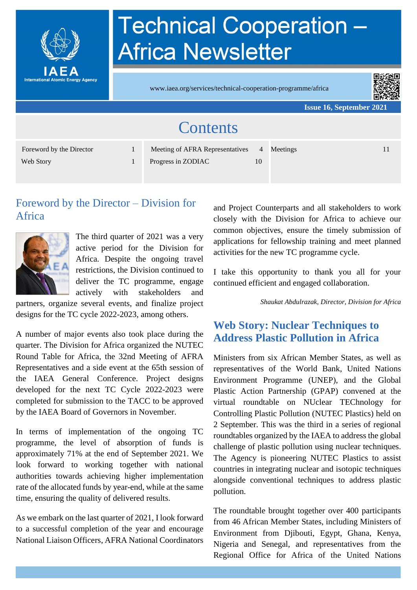

# **Technical Cooperation -Africa Newsletter**

www.iaea.org/services/technical-cooperation-programme/africa



**Issue 16, September 2021**

| <b>Contents</b>          |  |                                 |                |          |    |
|--------------------------|--|---------------------------------|----------------|----------|----|
| Foreword by the Director |  | Meeting of AFRA Representatives | $\overline{4}$ | Meetings | 11 |
| Web Story                |  | Progress in ZODIAC              | 10             |          |    |

# Foreword by the Director – Division for Africa



The third quarter of 2021 was a very active period for the Division for Africa. Despite the ongoing travel restrictions, the Division continued to deliver the TC programme, engage actively with stakeholders and

partners, organize several events, and finalize project designs for the TC cycle 2022-2023, among others.

A number of major events also took place during the quarter. The Division for Africa organized the NUTEC Round Table for Africa, the 32nd Meeting of AFRA Representatives and a side event at the 65th session of the IAEA General Conference. Project designs developed for the next TC Cycle 2022-2023 were completed for submission to the TACC to be approved by the IAEA Board of Governors in November.

In terms of implementation of the ongoing TC programme, the level of absorption of funds is approximately 71% at the end of September 2021. We look forward to working together with national authorities towards achieving higher implementation rate of the allocated funds by year-end, while at the same time, ensuring the quality of delivered results.

As we embark on the last quarter of 2021, I look forward to a successful completion of the year and encourage National Liaison Officers, AFRA National Coordinators and Project Counterparts and all stakeholders to work closely with the Division for Africa to achieve our common objectives, ensure the timely submission of applications for fellowship training and meet planned activities for the new TC programme cycle.

I take this opportunity to thank you all for your continued efficient and engaged collaboration.

*Shaukat Abdulrazak, Director, Division for Africa*

# **Web Story: Nuclear Techniques to Address Plastic Pollution in Africa**

Ministers from six African Member States, as well as representatives of the World Bank, United Nations Environment Programme (UNEP), and the Global Plastic Action Partnership (GPAP) convened at the virtual roundtable on NUclear TEChnology for Controlling Plastic Pollution (NUTEC Plastics) held on 2 September. This was the third in a series of regional roundtables organized by the IAEA to address the global challenge of plastic pollution using nuclear techniques. The Agency is pioneering NUTEC Plastics to assist countries in integrating nuclear and isotopic techniques alongside conventional techniques to address plastic pollution.

The roundtable brought together over 400 participants from 46 African Member States, including Ministers of Environment from Djibouti, Egypt, Ghana, Kenya, Nigeria and Senegal, and representatives from the Regional Office for Africa of the United Nations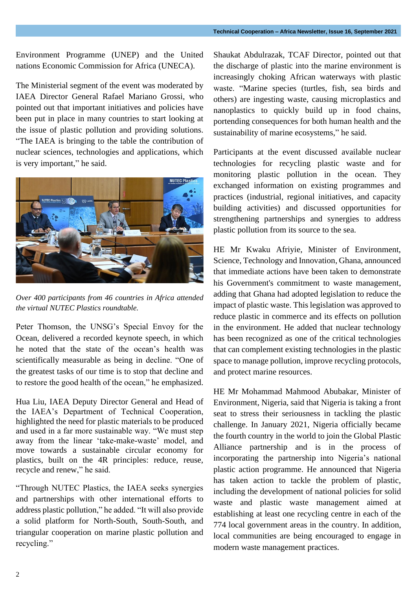Environment Programme (UNEP) and the United nations Economic Commission for Africa (UNECA).

The Ministerial segment of the event was moderated by IAEA Director General Rafael Mariano Grossi, who pointed out that important initiatives and policies have been put in place in many countries to start looking at the issue of plastic pollution and providing solutions. "The IAEA is bringing to the table the contribution of nuclear sciences, technologies and applications, which is very important," he said.



*Over 400 participants from 46 countries in Africa attended the virtual NUTEC Plastics roundtable.*

Peter Thomson, the UNSG's Special Envoy for the Ocean, delivered a recorded keynote speech, in which he noted that the state of the ocean's health was scientifically measurable as being in decline. "One of the greatest tasks of our time is to stop that decline and to restore the good health of the ocean," he emphasized.

Hua Liu, IAEA Deputy Director General and Head of the IAEA's Department of Technical Cooperation, highlighted the need for plastic materials to be produced and used in a far more sustainable way. "We must step away from the linear 'take-make-waste' model, and move towards a sustainable circular economy for plastics, built on the 4R principles: reduce, reuse, recycle and renew," he said.

"Through NUTEC Plastics, the IAEA seeks synergies and partnerships with other international efforts to address plastic pollution," he added. "It will also provide a solid platform for North-South, South-South, and triangular cooperation on marine plastic pollution and recycling."

Shaukat Abdulrazak, TCAF Director, pointed out that the discharge of plastic into the marine environment is increasingly choking African waterways with plastic waste. "Marine species (turtles, fish, sea birds and others) are ingesting waste, causing microplastics and nanoplastics to quickly build up in food chains, portending consequences for both human health and the sustainability of marine ecosystems," he said.

Participants at the event discussed available nuclear technologies for recycling plastic waste and for monitoring plastic pollution in the ocean. They exchanged information on existing programmes and practices (industrial, regional initiatives, and capacity building activities) and discussed opportunities for strengthening partnerships and synergies to address plastic pollution from its source to the sea.

HE Mr Kwaku Afriyie, Minister of Environment, Science, Technology and Innovation, Ghana, announced that immediate actions have been taken to demonstrate his Government's commitment to waste management, adding that Ghana had adopted legislation to reduce the impact of plastic waste. This legislation was approved to reduce plastic in commerce and its effects on pollution in the environment. He added that nuclear technology has been recognized as one of the critical technologies that can complement existing technologies in the plastic space to manage pollution, improve recycling protocols, and protect marine resources.

HE Mr Mohammad Mahmood Abubakar, Minister of Environment, Nigeria, said that Nigeria is taking a front seat to stress their seriousness in tackling the plastic challenge. In January 2021, Nigeria officially became the fourth country in the world to join the Global Plastic Alliance partnership and is in the process of incorporating the partnership into Nigeria's national plastic action programme. He announced that Nigeria has taken action to tackle the problem of plastic, including the development of national policies for solid waste and plastic waste management aimed at establishing at least one recycling centre in each of the 774 local government areas in the country. In addition, local communities are being encouraged to engage in modern waste management practices.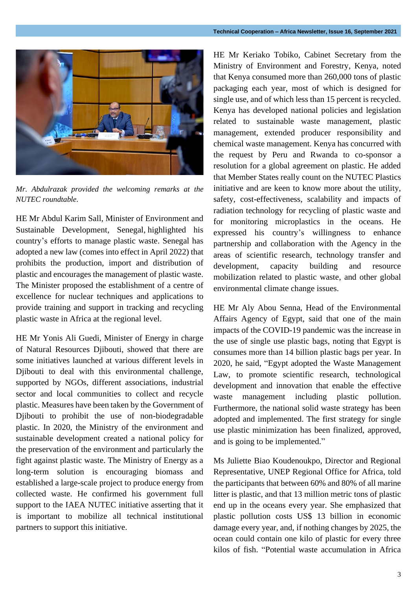

*Mr. Abdulrazak provided the welcoming remarks at the NUTEC roundtable.*

HE Mr Abdul Karim Sall, Minister of Environment and Sustainable Development, Senegal, highlighted his country's efforts to manage plastic waste. Senegal has adopted a new law (comes into effect in April 2022) that prohibits the production, import and distribution of plastic and encourages the management of plastic waste. The Minister proposed the establishment of a centre of excellence for nuclear techniques and applications to provide training and support in tracking and recycling plastic waste in Africa at the regional level.

HE Mr Yonis Ali Guedi, Minister of Energy in charge of Natural Resources Djibouti, showed that there are some initiatives launched at various different levels in Djibouti to deal with this environmental challenge, supported by NGOs, different associations, industrial sector and local communities to collect and recycle plastic. Measures have been taken by the Government of Djibouti to prohibit the use of non-biodegradable plastic. In 2020, the Ministry of the environment and sustainable development created a national policy for the preservation of the environment and particularly the fight against plastic waste. The Ministry of Energy as a long-term solution is encouraging biomass and established a large-scale project to produce energy from collected waste. He confirmed his government full support to the IAEA NUTEC initiative asserting that it is important to mobilize all technical institutional partners to support this initiative.

HE Mr Keriako Tobiko, Cabinet Secretary from the Ministry of Environment and Forestry, Kenya, noted that Kenya consumed more than 260,000 tons of plastic packaging each year, most of which is designed for single use, and of which less than 15 percent is recycled. Kenya has developed national policies and legislation related to sustainable waste management, plastic management, extended producer responsibility and chemical waste management. Kenya has concurred with the request by Peru and Rwanda to co-sponsor a resolution for a global agreement on plastic. He added that Member States really count on the NUTEC Plastics initiative and are keen to know more about the utility, safety, cost-effectiveness, scalability and impacts of radiation technology for recycling of plastic waste and for monitoring microplastics in the oceans. He expressed his country's willingness to enhance partnership and collaboration with the Agency in the areas of scientific research, technology transfer and development, capacity building and resource mobilization related to plastic waste, and other global environmental climate change issues.

HE Mr Aly Abou Senna, Head of the Environmental Affairs Agency of Egypt, said that one of the main impacts of the COVID-19 pandemic was the increase in the use of single use plastic bags, noting that Egypt is consumes more than 14 billion plastic bags per year. In 2020, he said, "Egypt adopted the Waste Management Law, to promote scientific research, technological development and innovation that enable the effective waste management including plastic pollution. Furthermore, the national solid waste strategy has been adopted and implemented. The first strategy for single use plastic minimization has been finalized, approved, and is going to be implemented."

Ms Juliette Biao Koudenoukpo, Director and Regional Representative, UNEP Regional Office for Africa, told the participants that between 60% and 80% of all marine litter is plastic, and that 13 million metric tons of plastic end up in the oceans every year. She emphasized that plastic pollution costs US\$ 13 billion in economic damage every year, and, if nothing changes by 2025, the ocean could contain one kilo of plastic for every three kilos of fish. "Potential waste accumulation in Africa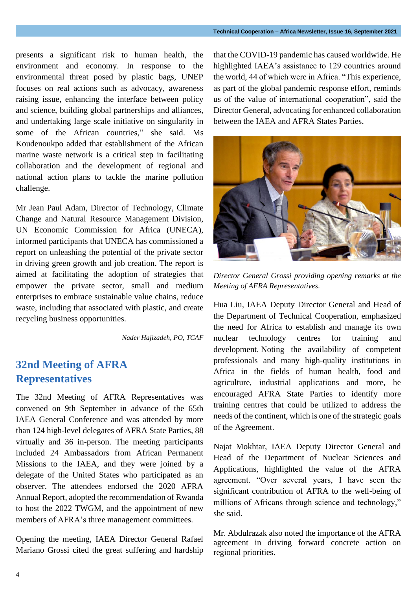presents a significant risk to human health, the environment and economy. In response to the environmental threat posed by plastic bags, UNEP focuses on real actions such as advocacy, awareness raising issue, enhancing the interface between policy and science, building global partnerships and alliances, and undertaking large scale initiative on singularity in some of the African countries," she said. Ms Koudenoukpo added that establishment of the African marine waste network is a critical step in facilitating collaboration and the development of regional and national action plans to tackle the marine pollution challenge.

Mr Jean Paul Adam, Director of Technology, Climate Change and Natural Resource Management Division, UN Economic Commission for Africa (UNECA), informed participants that UNECA has commissioned a report on unleashing the potential of the private sector in driving green growth and job creation. The report is aimed at facilitating the adoption of strategies that empower the private sector, small and medium enterprises to embrace sustainable value chains, reduce waste, including that associated with plastic, and create recycling business opportunities.

*Nader Hajizadeh, PO, TCAF*

### **32nd Meeting of AFRA Representatives**

The 32nd Meeting of AFRA Representatives was convened on 9th September in advance of the 65th IAEA General Conference and was attended by more than 124 high-level delegates of AFRA State Parties, 88 virtually and 36 in-person. The meeting participants included 24 Ambassadors from African Permanent Missions to the IAEA, and they were joined by a delegate of the United States who participated as an observer. The attendees endorsed the 2020 AFRA Annual Report, adopted the recommendation of Rwanda to host the 2022 TWGM, and the appointment of new members of AFRA's three management committees.

Opening the meeting, IAEA Director General Rafael Mariano Grossi cited the great suffering and hardship

that the COVID-19 pandemic has caused worldwide. He highlighted IAEA's assistance to 129 countries around the world, 44 of which were in Africa. "This experience, as part of the global pandemic response effort, reminds us of the value of international cooperation", said the Director General, advocating for enhanced collaboration between the IAEA and AFRA States Parties.



*Director General Grossi providing opening remarks at the Meeting of AFRA Representatives.*

Hua Liu, IAEA Deputy Director General and Head of the Department of Technical Cooperation, emphasized the need for Africa to establish and manage its own nuclear technology centres for training and development. Noting the availability of competent professionals and many high-quality institutions in Africa in the fields of human health, food and agriculture, industrial applications and more, he encouraged AFRA State Parties to identify more training centres that could be utilized to address the needs of the continent, which is one of the strategic goals of the Agreement.

Najat Mokhtar, IAEA Deputy Director General and Head of the Department of Nuclear Sciences and Applications, highlighted the value of the AFRA agreement. "Over several years, I have seen the significant contribution of AFRA to the well-being of millions of Africans through science and technology," she said.

Mr. Abdulrazak also noted the importance of the AFRA agreement in driving forward concrete action on regional priorities.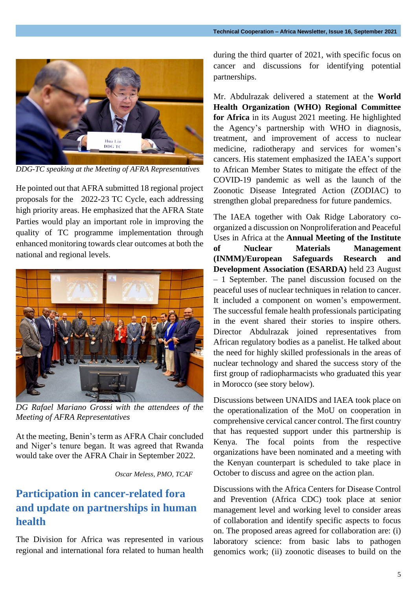

*DDG-TC speaking at the Meeting of AFRA Representatives*

He pointed out that AFRA submitted 18 regional project proposals for the 2022-23 TC Cycle, each addressing high priority areas. He emphasized that the AFRA State Parties would play an important role in improving the quality of TC programme implementation through enhanced monitoring towards clear outcomes at both the national and regional levels.



*DG Rafael Mariano Grossi with the attendees of the Meeting of AFRA Representatives*

At the meeting, Benin's term as AFRA Chair concluded and Niger's tenure began. It was agreed that Rwanda would take over the AFRA Chair in September 2022.

*Oscar Meless, PMO, TCAF*

### **Participation in cancer-related fora and update on partnerships in human health**

The Division for Africa was represented in various regional and international fora related to human health during the third quarter of 2021, with specific focus on cancer and discussions for identifying potential partnerships.

Mr. Abdulrazak delivered a statement at the **World Health Organization (WHO) Regional Committee for Africa** in its August 2021 meeting. He highlighted the Agency's partnership with WHO in diagnosis, treatment, and improvement of access to nuclear medicine, radiotherapy and services for women's cancers. His statement emphasized the IAEA's support to African Member States to mitigate the effect of the COVID-19 pandemic as well as the launch of the Zoonotic Disease Integrated Action [\(ZODIAC\)](https://www.iaea.org/newscenter/pressreleases/iaea-launches-initiative-to-help-prevent-future-pandemics) to strengthen global preparedness for future pandemics.

The IAEA together with Oak Ridge Laboratory coorganized a discussion on Nonproliferation and Peaceful Uses in Africa at the **Annual Meeting of the Institute of Nuclear Materials Management (INMM)/European Safeguards Research and Development Association (ESARDA)** held 23 August – 1 September. The panel discussion focused on the peaceful uses of nuclear techniques in relation to cancer. It included a component on women's empowerment. The successful female health professionals participating in the event shared their stories to inspire others. Director Abdulrazak joined representatives from African regulatory bodies as a panelist. He talked about the need for highly skilled professionals in the areas of nuclear technology and shared the success story of the first group of radiopharmacists who graduated this year in Morocco (see story below).

Discussions between UNAIDS and IAEA took place on the operationalization of the MoU on cooperation in comprehensive cervical cancer control. The first country that has requested support under this partnership is Kenya. The focal points from the respective organizations have been nominated and a meeting with the Kenyan counterpart is scheduled to take place in October to discuss and agree on the action plan.

Discussions with the Africa Centers for Disease Control and Prevention (Africa CDC) took place at senior management level and working level to consider areas of collaboration and identify specific aspects to focus on. The proposed areas agreed for collaboration are: (i) laboratory science: from basic labs to pathogen genomics work; (ii) zoonotic diseases to build on the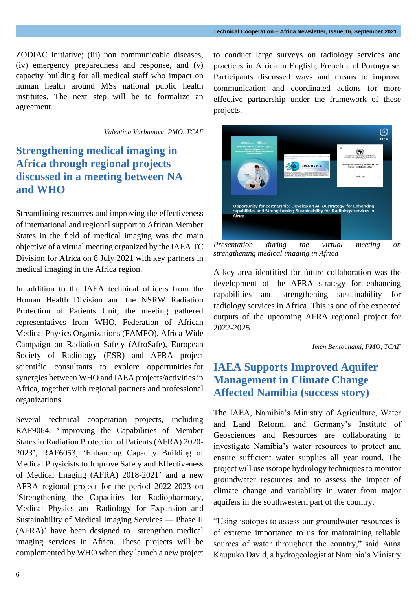ZODIAC initiative; (iii) non communicable diseases, (iv) emergency preparedness and response, and (v) capacity building for all medical staff who impact on human health around MSs national public health institutes. The next step will be to formalize an agreement.

*Valentina Varbanova, PMO, TCAF*

### **Strengthening medical imaging in Africa through regional projects discussed in a meeting between NA and WHO**

Streamlining resources and improving the effectiveness of international and regional support to African Member States in the field of medical imaging was the main objective of a virtual meeting organized by the IAEA TC Division for Africa on 8 July 2021 with key partners in medical imaging in the Africa region.

In addition to the IAEA technical officers from the Human Health Division and the NSRW Radiation Protection of Patients Unit, the meeting gathered representatives from WHO, Federation of African Medical Physics Organizations (FAMPO), Africa-Wide Campaign on Radiation Safety (AfroSafe), European Society of Radiology (ESR) and AFRA project scientific consultants to explore opportunities for synergies between WHO and IAEA projects/activities in Africa, together with regional partners and professional organizations.

Several technical cooperation projects, including RAF9064, 'Improving the Capabilities of Member States in Radiation Protection of Patients (AFRA) 2020- 2023', RAF6053, 'Enhancing Capacity Building of Medical Physicists to Improve Safety and Effectiveness of Medical Imaging (AFRA) 2018-2021' and a new AFRA regional project for the period 2022-2023 on 'Strengthening the Capacities for Radiopharmacy, Medical Physics and Radiology for Expansion and Sustainability of Medical Imaging Services — Phase II (AFRA)' have been designed to strengthen medical imaging services in Africa. These projects will be complemented by WHO when they launch a new project to conduct large surveys on radiology services and practices in Africa in English, French and Portuguese. Participants discussed ways and means to improve communication and coordinated actions for more effective partnership under the framework of these projects.



*Presentation during the virtual meeting on strengthening medical imaging in Africa*

A key area identified for future collaboration was the development of the AFRA strategy for enhancing capabilities and strengthening sustainability for radiology services in Africa. This is one of the expected outputs of the upcoming AFRA regional project for 2022-2025.

 *Imen Bentouhami, PMO, TCAF*

### **IAEA Supports Improved Aquifer Management in Climate Change Affected Namibia (success story)**

The IAEA, Namibia's Ministry of Agriculture, Water and Land Reform, and Germany's Institute of Geosciences and Resources are collaborating to investigate Namibia's water resources to protect and ensure sufficient water supplies all year round. The project will use isotope hydrology techniques to monitor groundwater resources and to assess the impact of climate change and variability in water from major aquifers in the southwestern part of the country.

"Using isotopes to assess our groundwater resources is of extreme importance to us for maintaining reliable sources of water throughout the country," said Anna Kaupuko David, a hydrogeologist at Namibia's Ministry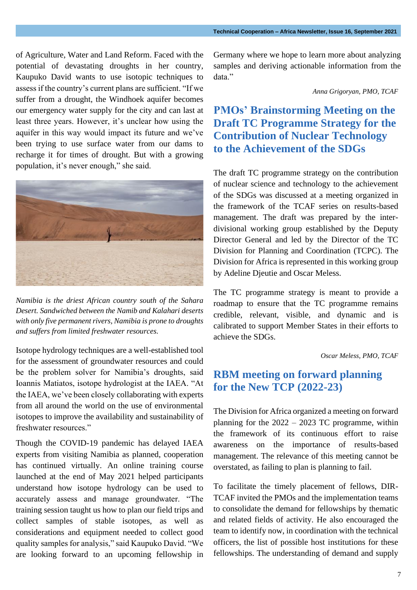of Agriculture, Water and Land Reform. Faced with the potential of devastating droughts in her country, Kaupuko David wants to use isotopic techniques to assess if the country's current plans are sufficient. "If we suffer from a drought, the Windhoek aquifer becomes our emergency water supply for the city and can last at least three years. However, it's unclear how using the aquifer in this way would impact its future and we've been trying to use surface water from our dams to recharge it for times of drought. But with a growing population, it's never enough," she said.



*Namibia is the driest African country south of the Sahara Desert. Sandwiched between the Namib and Kalahari deserts with only five permanent rivers, Namibia is prone to droughts and suffers from limited freshwater resources.*

Isotope hydrology techniques are a well-established tool for the assessment of groundwater resources and could be the problem solver for Namibia's droughts, said Ioannis Matiatos, isotope hydrologist at the IAEA. "At the IAEA, we've been closely collaborating with experts from all around the world on the use of environmental isotopes to improve the availability and sustainability of freshwater resources."

Though the COVID-19 pandemic has delayed IAEA experts from visiting Namibia as planned, cooperation has continued virtually. An online training course launched at the end of May 2021 helped participants understand how isotope hydrology can be used to accurately assess and manage groundwater. "The training session taught us how to plan our field trips and collect samples of stable isotopes, as well as considerations and equipment needed to collect good quality samples for analysis," said Kaupuko David. "We are looking forward to an upcoming fellowship in

Germany where we hope to learn more about analyzing samples and deriving actionable information from the data."

*Anna Grigoryan, PMO, TCAF*

#### **PMOs' Brainstorming Meeting on the Draft TC Programme Strategy for the Contribution of Nuclear Technology to the Achievement of the SDGs**

The draft TC programme strategy on the contribution of nuclear science and technology to the achievement of the SDGs was discussed at a meeting organized in the framework of the TCAF series on results-based management. The draft was prepared by the interdivisional working group established by the Deputy Director General and led by the Director of the TC Division for Planning and Coordination (TCPC). The Division for Africa is represented in this working group by Adeline Djeutie and Oscar Meless.

The TC programme strategy is meant to provide a roadmap to ensure that the TC programme remains credible, relevant, visible, and dynamic and is calibrated to support Member States in their efforts to achieve the SDGs.

#### *Oscar Meless, PMO, TCAF*

#### **RBM meeting on forward planning for the New TCP (2022-23)**

The Division for Africa organized a meeting on forward planning for the 2022 – 2023 TC programme, within the framework of its continuous effort to raise awareness on the importance of results-based management. The relevance of this meeting cannot be overstated, as failing to plan is planning to fail.

To facilitate the timely placement of fellows, DIR-TCAF invited the PMOs and the implementation teams to consolidate the demand for fellowships by thematic and related fields of activity. He also encouraged the team to identify now, in coordination with the technical officers, the list of possible host institutions for these fellowships. The understanding of demand and supply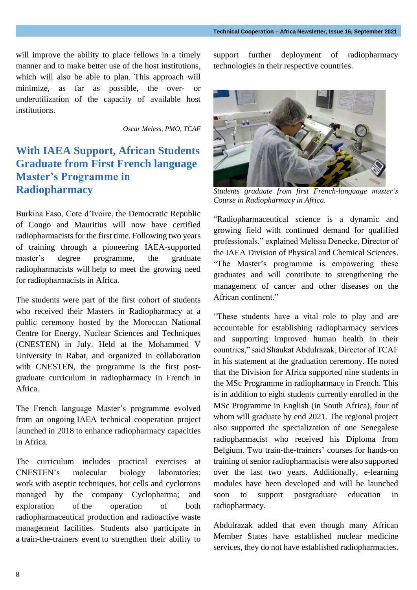will improve the ability to place fellows in a timely manner and to make better use of the host institutions, which will also be able to plan. This approach will minimize, as far as possible, the over- or underutilization of the capacity of available host institutions.

*Oscar Meless, PMO, TCAF*

# **With IAEA Support, African Students Graduate from First French language Master's Programme in Radiopharmacy**

Burkina Faso, Cote d'Ivoire, the Democratic Republic of Congo and Mauritius will now have certified radiopharmacists for the first time. Following two years of training through a pioneering IAEA-supported master's degree programme, the graduate radiopharmacists will help to meet the growing need for radiopharmacists in Africa.

The students were part of the first cohort of students who received their Masters in Radiopharmacy at a public ceremony hosted by the Moroccan National Centre for Energy, Nuclear Sciences and Techniques (CNESTEN) in July. Held at the Mohammed V University in Rabat, and organized in collaboration with CNESTEN, the programme is the first postgraduate curriculum in radiopharmacy in French in Africa.

The French language Master's programme evolved from an ongoing [IAEA technical cooperation project](https://www.iaea.org/newscenter/pressreleases/iaea-helps-african-countries-in-the-production-and-use-of-radiopharmaceuticals-for-cancer-and-other-diseases)  [launched in 2018](https://www.iaea.org/newscenter/pressreleases/iaea-helps-african-countries-in-the-production-and-use-of-radiopharmaceuticals-for-cancer-and-other-diseases) to enhance radiopharmacy capacities in Africa.

The curriculum includes practical exercises at CNESTEN's molecular biology laboratories; work with aseptic techniques, hot cells and cyclotrons managed by the company Cyclopharma; and exploration of the operation of both radiopharmaceutical production and radioactive waste management facilities. Students also participate in a [train-the-trainers event](https://www.iaea.org/newscenter/news/with-iaea-support-african-professionals-learn-how-to-deploy-the-latest-radiopharmacy-technologies) to strengthen their ability to support further deployment of radiopharmacy technologies in their respective countries.



*Students graduate from first French-language master's Course in Radiopharmacy in Africa.*

"Radiopharmaceutical science is a dynamic and growing field with continued demand for qualified professionals," explained Melissa Denecke, Director of the IAEA [Division of Physical and Chemical Sciences.](https://www.iaea.org/about/organizational-structure/department-of-nuclear-sciences-and-applications/division-of-physical-and-chemical-sciences) "The Master's programme is empowering these graduates and will contribute to strengthening the management of cancer and other diseases on the African continent."

"These students have a vital role to play and are accountable for establishing radiopharmacy services and supporting improved human health in their countries," said Shaukat Abdulrazak, Director of TCAF in his statement at the graduation ceremony. He noted that the Division for Africa supported nine students in the MSc Programme in radiopharmacy in French. This is in addition to eight students currently enrolled in the MSc Programme in English (in South Africa), four of whom will graduate by end 2021. The regional project also supported the specialization of one Senegalese radiopharmacist who received his Diploma from Belgium. Two train-the-trainers' courses for hands-on training of senior radiopharmacists were also supported over the last two years. Additionally, e-learning modules have been developed and will be launched soon to support postgraduate education in radiopharmacy.

Abdulrazak added that even though many African Member States have established nuclear medicine services, they do not have established radiopharmacies.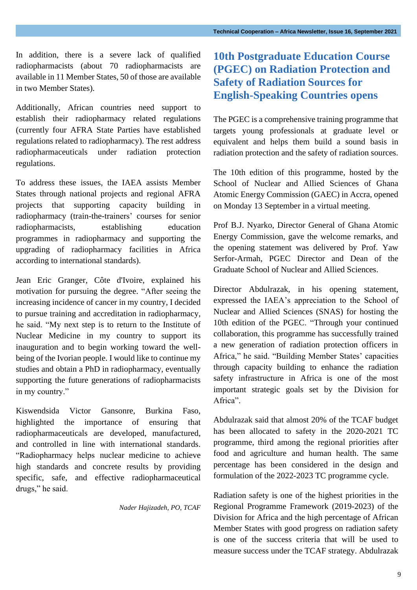In addition, there is a severe lack of qualified radiopharmacists (about 70 radiopharmacists are available in 11 Member States, 50 of those are available in two Member States).

Additionally, African countries need support to establish their radiopharmacy related regulations (currently four AFRA State Parties have established regulations related to radiopharmacy). The rest address radiopharmaceuticals under radiation protection regulations.

To address these issues, the IAEA assists Member States through national projects and regional AFRA projects that supporting capacity building in radiopharmacy (train-the-trainers' courses for senior radiopharmacists, establishing education programmes in radiopharmacy and supporting the upgrading of radiopharmacy facilities in Africa according to international standards).

Jean Eric Granger, Côte d'Ivoire, explained his motivation for pursuing the degree. "After seeing the increasing incidence of cancer in my country, I decided to pursue training and accreditation in radiopharmacy, he said. "My next step is to return to the Institute of Nuclear Medicine in my country to support its inauguration and to begin working toward the wellbeing of the Ivorian people. I would like to continue my studies and obtain a PhD in radiopharmacy, eventually supporting the future generations of radiopharmacists in my country."

Kiswendsida Victor Gansonre, Burkina Faso, highlighted the importance of ensuring that radiopharmaceuticals are developed, manufactured, and controlled in line with international standards. "Radiopharmacy helps nuclear medicine to achieve high standards and concrete results by providing specific, safe, and effective radiopharmaceutical drugs," he said.

*Nader Hajizadeh, PO, TCAF*

# **10th Postgraduate Education Course (PGEC) on Radiation Protection and Safety of Radiation Sources for English-Speaking Countries opens**

The PGEC is a comprehensive training programme that targets young professionals at graduate level or equivalent and helps them build a sound basis in radiation protection and the safety of radiation sources.

The 10th edition of this programme, hosted by the School of Nuclear and Allied Sciences of Ghana Atomic Energy Commission (GAEC) in Accra, opened on Monday 13 September in a virtual meeting.

Prof B.J. Nyarko, Director General of Ghana Atomic Energy Commission, gave the welcome remarks, and the opening statement was delivered by Prof. Yaw Serfor-Armah, PGEC Director and Dean of the Graduate School of Nuclear and Allied Sciences.

Director Abdulrazak, in his opening statement, expressed the IAEA's appreciation to the School of Nuclear and Allied Sciences (SNAS) for hosting the 10th edition of the PGEC. "Through your continued collaboration, this programme has successfully trained a new generation of radiation protection officers in Africa," he said. "Building Member States' capacities through capacity building to enhance the radiation safety infrastructure in Africa is one of the most important strategic goals set by the Division for Africa".

Abdulrazak said that almost 20% of the TCAF budget has been allocated to safety in the 2020-2021 TC programme, third among the regional priorities after food and agriculture and human health. The same percentage has been considered in the design and formulation of the 2022-2023 TC programme cycle.

Radiation safety is one of the highest priorities in the Regional Programme Framework (2019-2023) of the Division for Africa and the high percentage of African Member States with good progress on radiation safety is one of the success criteria that will be used to measure success under the TCAF strategy. Abdulrazak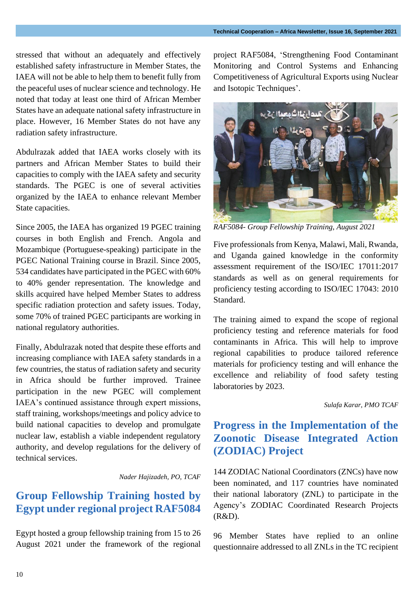stressed that without an adequately and effectively established safety infrastructure in Member States, the IAEA will not be able to help them to benefit fully from the peaceful uses of nuclear science and technology. He noted that today at least one third of African Member States have an adequate national safety infrastructure in place. However, 16 Member States do not have any radiation safety infrastructure.

Abdulrazak added that IAEA works closely with its partners and African Member States to build their capacities to comply with the IAEA safety and security standards. The PGEC is one of several activities organized by the IAEA to enhance relevant Member State capacities.

Since 2005, the IAEA has organized 19 PGEC training courses in both English and French. Angola and Mozambique (Portuguese-speaking) participate in the PGEC National Training course in Brazil. Since 2005, 534 candidates have participated in the PGEC with 60% to 40% gender representation. The knowledge and skills acquired have helped Member States to address specific radiation protection and safety issues. Today, some 70% of trained PGEC participants are working in national regulatory authorities.

Finally, Abdulrazak noted that despite these efforts and increasing compliance with IAEA safety standards in a few countries, the status of radiation safety and security in Africa should be further improved. Trainee participation in the new PGEC will complement IAEA's continued assistance through expert missions, staff training, workshops/meetings and policy advice to build national capacities to develop and promulgate nuclear law, establish a viable independent regulatory authority, and develop regulations for the delivery of technical services.

#### *Nader Hajizadeh, PO, TCAF*

#### **Group Fellowship Training hosted by Egypt under regional project RAF5084**

Egypt hosted a group fellowship training from 15 to 26 August 2021 under the framework of the regional project RAF5084, 'Strengthening Food Contaminant Monitoring and Control Systems and Enhancing Competitiveness of Agricultural Exports using Nuclear and Isotopic Techniques'.



*RAF5084- Group Fellowship Training, August 2021*

Five professionals from Kenya, Malawi, Mali, Rwanda, and Uganda gained knowledge in the conformity assessment requirement of the ISO/IEC 17011:2017 standards as well as on general requirements for proficiency testing according to ISO/IEC 17043: 2010 Standard.

The training aimed to expand the scope of regional proficiency testing and reference materials for food contaminants in Africa. This will help to improve regional capabilities to produce tailored reference materials for proficiency testing and will enhance the excellence and reliability of food safety testing laboratories by 2023.

#### *Sulafa Karar, PMO TCAF*

#### **Progress in the Implementation of the Zoonotic Disease Integrated Action (ZODIAC) Project**

144 ZODIAC National Coordinators (ZNCs) have now been nominated, and 117 countries have nominated their national laboratory (ZNL) to participate in the Agency's ZODIAC Coordinated Research Projects (R&D).

96 Member States have replied to an online questionnaire addressed to all ZNLs in the TC recipient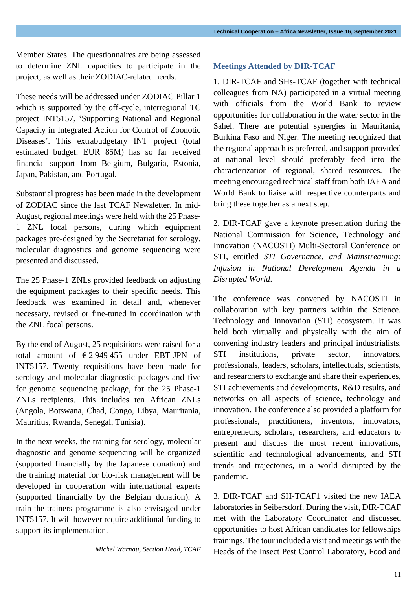Member States. The questionnaires are being assessed to determine ZNL capacities to participate in the project, as well as their ZODIAC-related needs.

These needs will be addressed under ZODIAC Pillar 1 which is supported by the off-cycle, interregional TC project INT5157, 'Supporting National and Regional Capacity in Integrated Action for Control of Zoonotic Diseases'. This extrabudgetary INT project (total estimated budget: EUR 85M) has so far received financial support from Belgium, Bulgaria, Estonia, Japan, Pakistan, and Portugal.

Substantial progress has been made in the development of ZODIAC since the last TCAF Newsletter. In mid-August, regional meetings were held with the 25 Phase-1 ZNL focal persons, during which equipment packages pre-designed by the Secretariat for serology, molecular diagnostics and genome sequencing were presented and discussed.

The 25 Phase-1 ZNLs provided feedback on adjusting the equipment packages to their specific needs. This feedback was examined in detail and, whenever necessary, revised or fine-tuned in coordination with the ZNL focal persons.

By the end of August, 25 requisitions were raised for a total amount of  $\epsilon$  2 949 455 under EBT-JPN of INT5157. Twenty requisitions have been made for serology and molecular diagnostic packages and five for genome sequencing package, for the 25 Phase-1 ZNLs recipients. This includes ten African ZNLs (Angola, Botswana, Chad, Congo, Libya, Mauritania, Mauritius, Rwanda, Senegal, Tunisia).

In the next weeks, the training for serology, molecular diagnostic and genome sequencing will be organized (supported financially by the Japanese donation) and the training material for bio-risk management will be developed in cooperation with international experts (supported financially by the Belgian donation). A train-the-trainers programme is also envisaged under INT5157. It will however require additional funding to support its implementation.

*Michel Warnau, Section Head, TCAF*

#### **Meetings Attended by DIR-TCAF**

1. DIR-TCAF and SHs-TCAF (together with technical colleagues from NA) participated in a virtual meeting with officials from the World Bank to review opportunities for collaboration in the water sector in the Sahel. There are potential synergies in Mauritania, Burkina Faso and Niger. The meeting recognized that the regional approach is preferred, and support provided at national level should preferably feed into the characterization of regional, shared resources. The meeting encouraged technical staff from both IAEA and World Bank to liaise with respective counterparts and bring these together as a next step.

2. DIR-TCAF gave a keynote presentation during the National Commission for Science, Technology and Innovation (NACOSTI) Multi-Sectoral Conference on STI, entitled *STI Governance, and Mainstreaming: Infusion in National Development Agenda in a Disrupted World*.

The conference was convened by NACOSTI in collaboration with key partners within the Science, Technology and Innovation (STI) ecosystem. It was held both virtually and physically with the aim of convening industry leaders and principal industrialists, STI institutions, private sector, innovators, professionals, leaders, scholars, intellectuals, scientists, and researchers to exchange and share their experiences, STI achievements and developments, R&D results, and networks on all aspects of science, technology and innovation. The conference also provided a platform for professionals, practitioners, inventors, innovators, entrepreneurs, scholars, researchers, and educators to present and discuss the most recent innovations, scientific and technological advancements, and STI trends and trajectories, in a world disrupted by the pandemic.

3. DIR-TCAF and SH-TCAF1 visited the new IAEA laboratories in Seibersdorf. During the visit, DIR-TCAF met with the Laboratory Coordinator and discussed opportunities to host African candidates for fellowships trainings. The tour included a visit and meetings with the Heads of the Insect Pest Control Laboratory, Food and